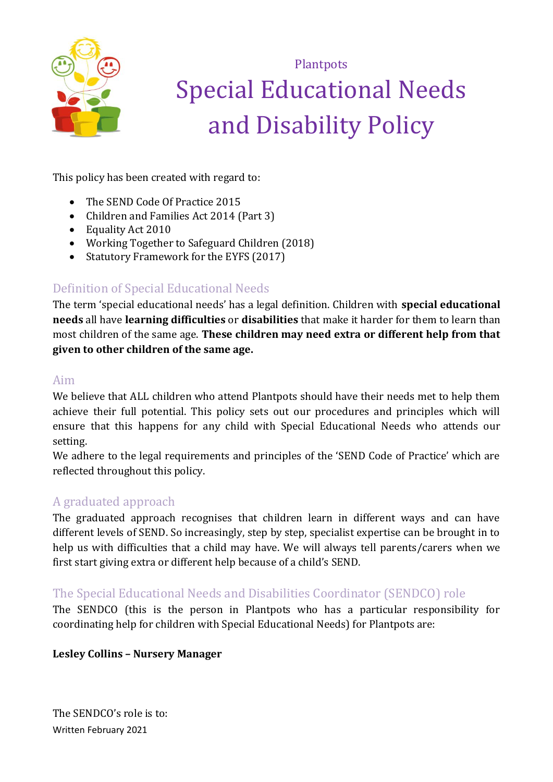

**Plantpots** Special Educational Needs and Disability Policy

This policy has been created with regard to:

- The SEND Code Of Practice 2015
- Children and Families Act 2014 (Part 3)
- Equality Act 2010
- Working Together to Safeguard Children (2018)
- Statutory Framework for the EYFS (2017)

# Definition of Special Educational Needs

The term 'special educational needs' has a legal definition. Children with **special educational needs** all have **learning difficulties** or **disabilities** that make it harder for them to learn than most children of the same age. **These children may need extra or different help from that given to other children of the same age.** 

## Aim

We believe that ALL children who attend Plantpots should have their needs met to help them achieve their full potential. This policy sets out our procedures and principles which will ensure that this happens for any child with Special Educational Needs who attends our setting.

We adhere to the legal requirements and principles of the 'SEND Code of Practice' which are reflected throughout this policy.

## A graduated approach

The graduated approach recognises that children learn in different ways and can have different levels of SEND. So increasingly, step by step, specialist expertise can be brought in to help us with difficulties that a child may have. We will always tell parents/carers when we first start giving extra or different help because of a child's SEND.

## The Special Educational Needs and Disabilities Coordinator (SENDCO) role

The SENDCO (this is the person in Plantpots who has a particular responsibility for coordinating help for children with Special Educational Needs) for Plantpots are:

#### **Lesley Collins – Nursery Manager**

Written February 2021 The SENDCO's role is to: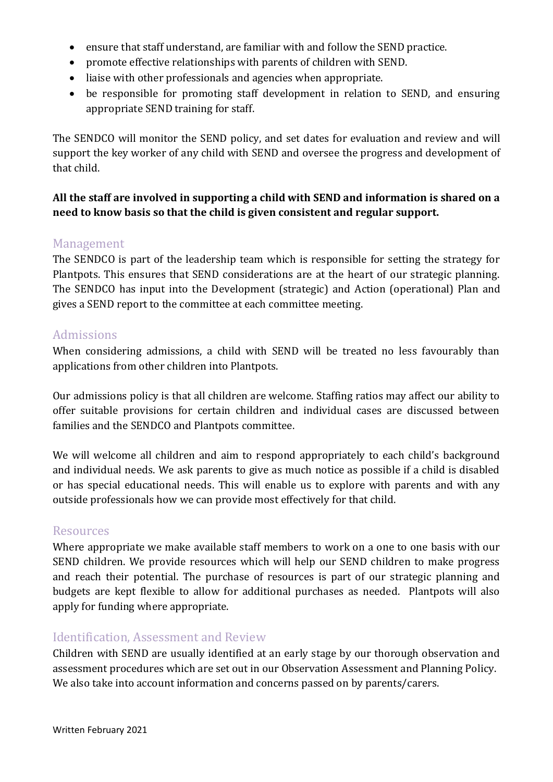- ensure that staff understand, are familiar with and follow the SEND practice.
- promote effective relationships with parents of children with SEND.
- liaise with other professionals and agencies when appropriate.
- be responsible for promoting staff development in relation to SEND, and ensuring appropriate SEND training for staff.

The SENDCO will monitor the SEND policy, and set dates for evaluation and review and will support the key worker of any child with SEND and oversee the progress and development of that child.

## **All the staff are involved in supporting a child with SEND and information is shared on a need to know basis so that the child is given consistent and regular support.**

### Management

The SENDCO is part of the leadership team which is responsible for setting the strategy for Plantpots. This ensures that SEND considerations are at the heart of our strategic planning. The SENDCO has input into the Development (strategic) and Action (operational) Plan and gives a SEND report to the committee at each committee meeting.

## Admissions

When considering admissions, a child with SEND will be treated no less favourably than applications from other children into Plantpots.

Our admissions policy is that all children are welcome. Staffing ratios may affect our ability to offer suitable provisions for certain children and individual cases are discussed between families and the SENDCO and Plantpots committee.

We will welcome all children and aim to respond appropriately to each child's background and individual needs. We ask parents to give as much notice as possible if a child is disabled or has special educational needs. This will enable us to explore with parents and with any outside professionals how we can provide most effectively for that child.

#### Resources

Where appropriate we make available staff members to work on a one to one basis with our SEND children. We provide resources which will help our SEND children to make progress and reach their potential. The purchase of resources is part of our strategic planning and budgets are kept flexible to allow for additional purchases as needed. Plantpots will also apply for funding where appropriate.

## Identification, Assessment and Review

Children with SEND are usually identified at an early stage by our thorough observation and assessment procedures which are set out in our Observation Assessment and Planning Policy. We also take into account information and concerns passed on by parents/carers.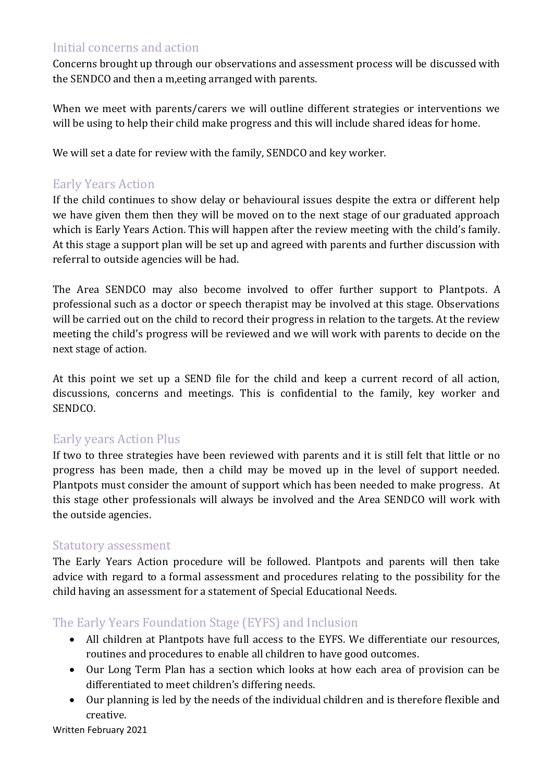## Initial concerns and action

Concerns brought up through our observations and assessment process will be discussed with the SENDCO and then a m,eeting arranged with parents.

When we meet with parents/carers we will outline different strategies or interventions we will be using to help their child make progress and this will include shared ideas for home.

We will set a date for review with the family, SENDCO and key worker.

## Early Years Action

If the child continues to show delay or behavioural issues despite the extra or different help we have given them then they will be moved on to the next stage of our graduated approach which is Early Years Action. This will happen after the review meeting with the child's family. At this stage a support plan will be set up and agreed with parents and further discussion with referral to outside agencies will be had.

The Area SENDCO may also become involved to offer further support to Plantpots. A professional such as a doctor or speech therapist may be involved at this stage. Observations will be carried out on the child to record their progress in relation to the targets. At the review meeting the child's progress will be reviewed and we will work with parents to decide on the next stage of action.

At this point we set up a SEND file for the child and keep a current record of all action, discussions, concerns and meetings. This is confidential to the family, key worker and SENDCO.

## Early years Action Plus

If two to three strategies have been reviewed with parents and it is still felt that little or no progress has been made, then a child may be moved up in the level of support needed. Plantpots must consider the amount of support which has been needed to make progress. At this stage other professionals will always be involved and the Area SENDCO will work with the outside agencies.

#### Statutory assessment

The Early Years Action procedure will be followed. Plantpots and parents will then take advice with regard to a formal assessment and procedures relating to the possibility for the child having an assessment for a statement of Special Educational Needs.

## The Early Years Foundation Stage (EYFS) and Inclusion

- All children at Plantpots have full access to the EYFS. We differentiate our resources, routines and procedures to enable all children to have good outcomes.
- Our Long Term Plan has a section which looks at how each area of provision can be differentiated to meet children's differing needs.
- Our planning is led by the needs of the individual children and is therefore flexible and creative.

Written February 2021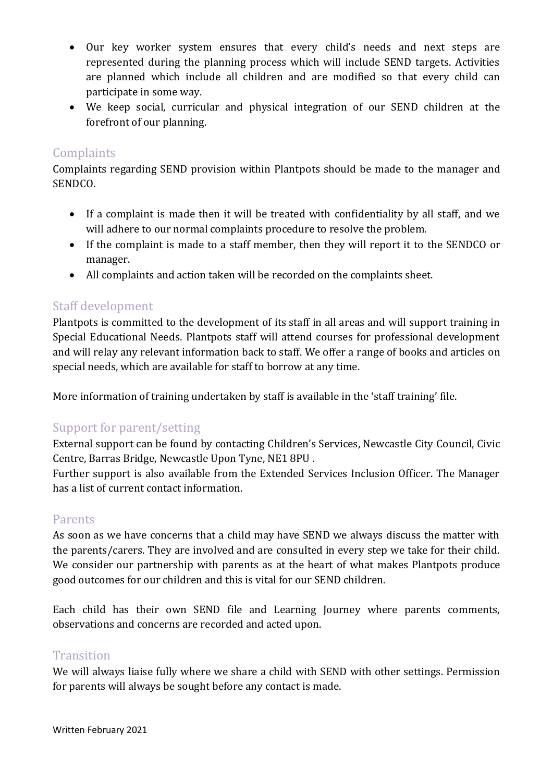- Our key worker system ensures that every child's needs and next steps are represented during the planning process which will include SEND targets. Activities are planned which include all children and are modified so that every child can participate in some way.
- We keep social, curricular and physical integration of our SEND children at the forefront of our planning.

### **Complaints**

Complaints regarding SEND provision within Plantpots should be made to the manager and SENDCO.

- If a complaint is made then it will be treated with confidentiality by all staff, and we will adhere to our normal complaints procedure to resolve the problem.
- If the complaint is made to a staff member, then they will report it to the SENDCO or manager.
- All complaints and action taken will be recorded on the complaints sheet.

## Staff development

Plantpots is committed to the development of its staff in all areas and will support training in Special Educational Needs. Plantpots staff will attend courses for professional development and will relay any relevant information back to staff. We offer a range of books and articles on special needs, which are available for staff to borrow at any time.

More information of training undertaken by staff is available in the 'staff training' file.

## Support for parent/setting

External support can be found by contacting Children's Services, Newcastle City Council, Civic Centre, Barras Bridge, Newcastle Upon Tyne, NE1 8PU .

Further support is also available from the Extended Services Inclusion Officer. The Manager has a list of current contact information.

#### Parents

As soon as we have concerns that a child may have SEND we always discuss the matter with the parents/carers. They are involved and are consulted in every step we take for their child. We consider our partnership with parents as at the heart of what makes Plantpots produce good outcomes for our children and this is vital for our SEND children.

Each child has their own SEND file and Learning Journey where parents comments, observations and concerns are recorded and acted upon.

#### **Transition**

We will always liaise fully where we share a child with SEND with other settings. Permission for parents will always be sought before any contact is made.